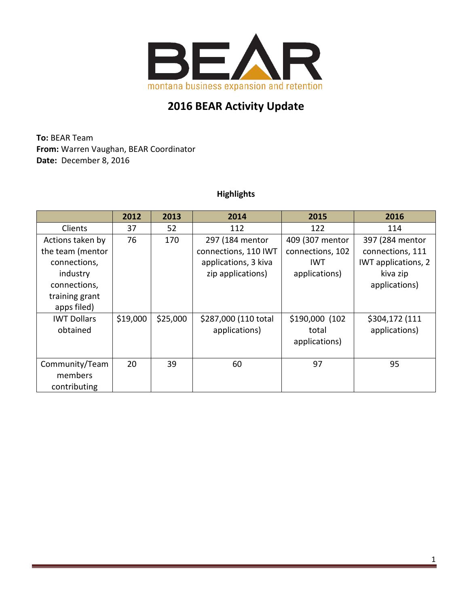

# **2016 BEAR Activity Update**

**To:** BEAR Team **From:** Warren Vaughan, BEAR Coordinator **Date:** December 8, 2016

### **Highlights**

|                    | 2012     | 2013     | 2014                 | 2015             | 2016                |
|--------------------|----------|----------|----------------------|------------------|---------------------|
| Clients            | 37       | 52       | 112                  | 122              | 114                 |
| Actions taken by   | 76       | 170      | 297 (184 mentor      | 409 (307 mentor  | 397 (284 mentor     |
| the team (mentor   |          |          | connections, 110 IWT | connections, 102 | connections, 111    |
| connections,       |          |          | applications, 3 kiva | <b>IWT</b>       | IWT applications, 2 |
| industry           |          |          | zip applications)    | applications)    | kiva zip            |
| connections,       |          |          |                      |                  | applications)       |
| training grant     |          |          |                      |                  |                     |
| apps filed)        |          |          |                      |                  |                     |
| <b>IWT Dollars</b> | \$19,000 | \$25,000 | \$287,000 (110 total | \$190,000 (102   | \$304,172 (111      |
| obtained           |          |          | applications)        | total            | applications)       |
|                    |          |          |                      | applications)    |                     |
|                    |          |          |                      |                  |                     |
| Community/Team     | 20       | 39       | 60                   | 97               | 95                  |
| members            |          |          |                      |                  |                     |
| contributing       |          |          |                      |                  |                     |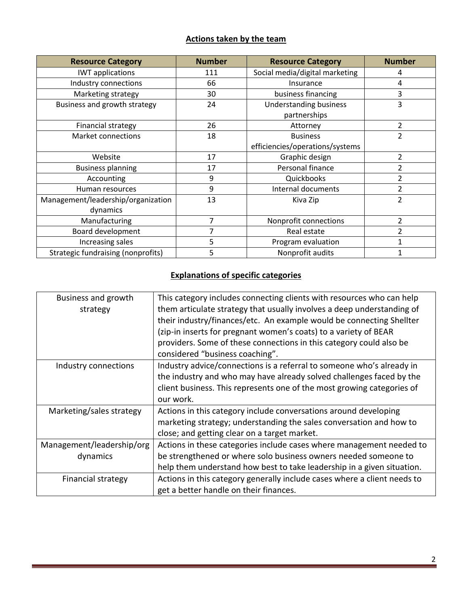### **Actions taken by the team**

| <b>Resource Category</b>                  | <b>Number</b> | <b>Resource Category</b>        | <b>Number</b>  |
|-------------------------------------------|---------------|---------------------------------|----------------|
| <b>IWT</b> applications                   | 111           | Social media/digital marketing  | 4              |
| Industry connections                      | 66            | Insurance                       | 4              |
| Marketing strategy                        | 30            | business financing              | 3              |
| Business and growth strategy              | 24            | <b>Understanding business</b>   | 3              |
|                                           |               | partnerships                    |                |
| <b>Financial strategy</b>                 | 26            | Attorney                        | $\overline{2}$ |
| <b>Market connections</b>                 | 18            | <b>Business</b>                 | $\overline{2}$ |
|                                           |               | efficiencies/operations/systems |                |
| Website                                   | 17            | Graphic design                  | 2              |
| <b>Business planning</b>                  | 17            | Personal finance                | 2              |
| Accounting                                | 9             | Quickbooks                      | 2              |
| Human resources                           | 9             | Internal documents              | 2              |
| Management/leadership/organization        | 13            | Kiva Zip                        | 2              |
| dynamics                                  |               |                                 |                |
| Manufacturing                             | 7             | Nonprofit connections           | $\overline{2}$ |
| Board development                         |               | Real estate                     | 2              |
| Increasing sales                          | 5             | Program evaluation              |                |
| <b>Strategic fundraising (nonprofits)</b> | 5             | Nonprofit audits                |                |

## **Explanations of specific categories**

| Business and growth<br>strategy | This category includes connecting clients with resources who can help<br>them articulate strategy that usually involves a deep understanding of<br>their industry/finances/etc. An example would be connecting Shellter |  |  |
|---------------------------------|-------------------------------------------------------------------------------------------------------------------------------------------------------------------------------------------------------------------------|--|--|
|                                 | (zip-in inserts for pregnant women's coats) to a variety of BEAR                                                                                                                                                        |  |  |
|                                 | providers. Some of these connections in this category could also be<br>considered "business coaching".                                                                                                                  |  |  |
| Industry connections            | Industry advice/connections is a referral to someone who's already in                                                                                                                                                   |  |  |
|                                 | the industry and who may have already solved challenges faced by the                                                                                                                                                    |  |  |
|                                 | client business. This represents one of the most growing categories of                                                                                                                                                  |  |  |
|                                 | our work.                                                                                                                                                                                                               |  |  |
| Marketing/sales strategy        | Actions in this category include conversations around developing                                                                                                                                                        |  |  |
|                                 | marketing strategy; understanding the sales conversation and how to                                                                                                                                                     |  |  |
|                                 | close; and getting clear on a target market.                                                                                                                                                                            |  |  |
| Management/leadership/org       | Actions in these categories include cases where management needed to                                                                                                                                                    |  |  |
| dynamics                        | be strengthened or where solo business owners needed someone to                                                                                                                                                         |  |  |
|                                 | help them understand how best to take leadership in a given situation.                                                                                                                                                  |  |  |
| Financial strategy              | Actions in this category generally include cases where a client needs to                                                                                                                                                |  |  |
|                                 | get a better handle on their finances.                                                                                                                                                                                  |  |  |